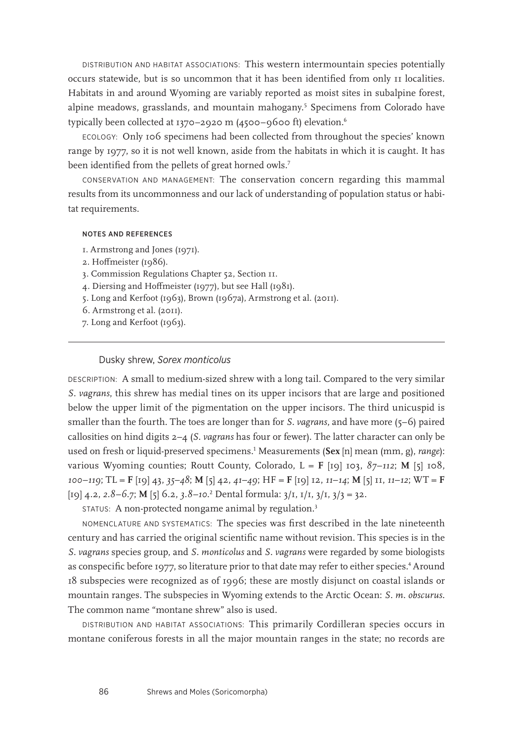DISTRIBUTION AND HABITAT ASSOCIATIONS: This western intermountain species potentially occurs statewide, but is so uncommon that it has been identified from only 11 localities. Habitats in and around Wyoming are variably reported as moist sites in subalpine forest, alpine meadows, grasslands, and mountain mahogany.<sup>5</sup> Specimens from Colorado have typically been collected at 1370–2920 m (4500–9600 ft) elevation.<sup>6</sup>

ECOLOGY: Only 106 specimens had been collected from throughout the species' known range by 1977, so it is not well known, aside from the habitats in which it is caught. It has been identified from the pellets of great horned owls.<sup>7</sup>

CONSERVATION AND MANAGEMENT: The conservation concern regarding this mammal results from its uncommonness and our lack of understanding of population status or habitat requirements.

## NOTES AND REFERENCES

- 1. Armstrong and Jones (1971).
- 2. Hoffmeister (1986).
- 3. Commission Regulations Chapter 52, Section 11.
- 4. Diersing and Hoffmeister (1977), but see Hall (1981).
- 5. Long and Kerfoot (1963), Brown (1967a), Armstrong et al. (2011).
- 6. Armstrong et al. (2011).
- 7. Long and Kerfoot (1963).

## Dusky shrew, *Sorex monticolus*

DESCRIPTION: A small to medium-sized shrew with a long tail. Compared to the very similar *S. vagrans*, this shrew has medial tines on its upper incisors that are large and positioned below the upper limit of the pigmentation on the upper incisors. The third unicuspid is smaller than the fourth. The toes are longer than for *S. vagrans*, and have more (5–6) paired callosities on hind digits 2–4 (*S. vagrans* has four or fewer). The latter character can only be used on fresh or liquid-preserved specimens.1 Measurements (**Sex** [n] mean (mm, g), *range*): various Wyoming counties; Routt County, Colorado,  $L = F$  [19] 103,  $87-112$ ; M [5] 108, *100*–*119*; TL = **F** [19] 43, *35*–*48*; **M** [5] 42, *41*–*49*; HF = **F** [19] 12, *11*–*14*; **M** [5] 11, *11*–*12*; WT = **F** [19] 4.2, *2.8–6.7*; **M** [5] 6.2, *3.8–10*. 2 Dental formula: 3/1, 1/1, 3/1, 3/3 = 32.

STATUS: A non-protected nongame animal by regulation.<sup>3</sup>

NOMENCLATURE AND SYSTEMATICS: The species was first described in the late nineteenth century and has carried the original scientific name without revision. This species is in the *S. vagrans* species group, and *S. monticolus* and *S. vagrans* were regarded by some biologists as conspecific before 1977, so literature prior to that date may refer to either species.<sup>4</sup> Around 18 subspecies were recognized as of 1996; these are mostly disjunct on coastal islands or mountain ranges. The subspecies in Wyoming extends to the Arctic Ocean: *S. m. obscurus*. The common name "montane shrew" also is used.

DISTRIBUTION AND HABITAT ASSOCIATIONS: This primarily Cordilleran species occurs in montane coniferous forests in all the major mountain ranges in the state; no records are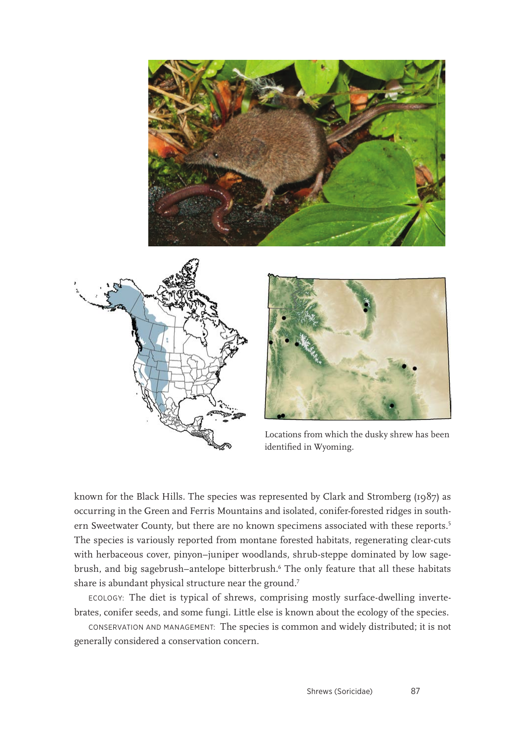





Locations from which the dusky shrew has been identified in Wyoming.

known for the Black Hills. The species was represented by Clark and Stromberg (1987) as occurring in the Green and Ferris Mountains and isolated, conifer-forested ridges in southern Sweetwater County, but there are no known specimens associated with these reports.<sup>5</sup> The species is variously reported from montane forested habitats, regenerating clear-cuts with herbaceous cover, pinyon–juniper woodlands, shrub-steppe dominated by low sagebrush, and big sagebrush–antelope bitterbrush.6 The only feature that all these habitats share is abundant physical structure near the ground.<sup>7</sup>

ECOLOGY: The diet is typical of shrews, comprising mostly surface-dwelling invertebrates, conifer seeds, and some fungi. Little else is known about the ecology of the species.

CONSERVATION AND MANAGEMENT: The species is common and widely distributed; it is not generally considered a conservation concern.